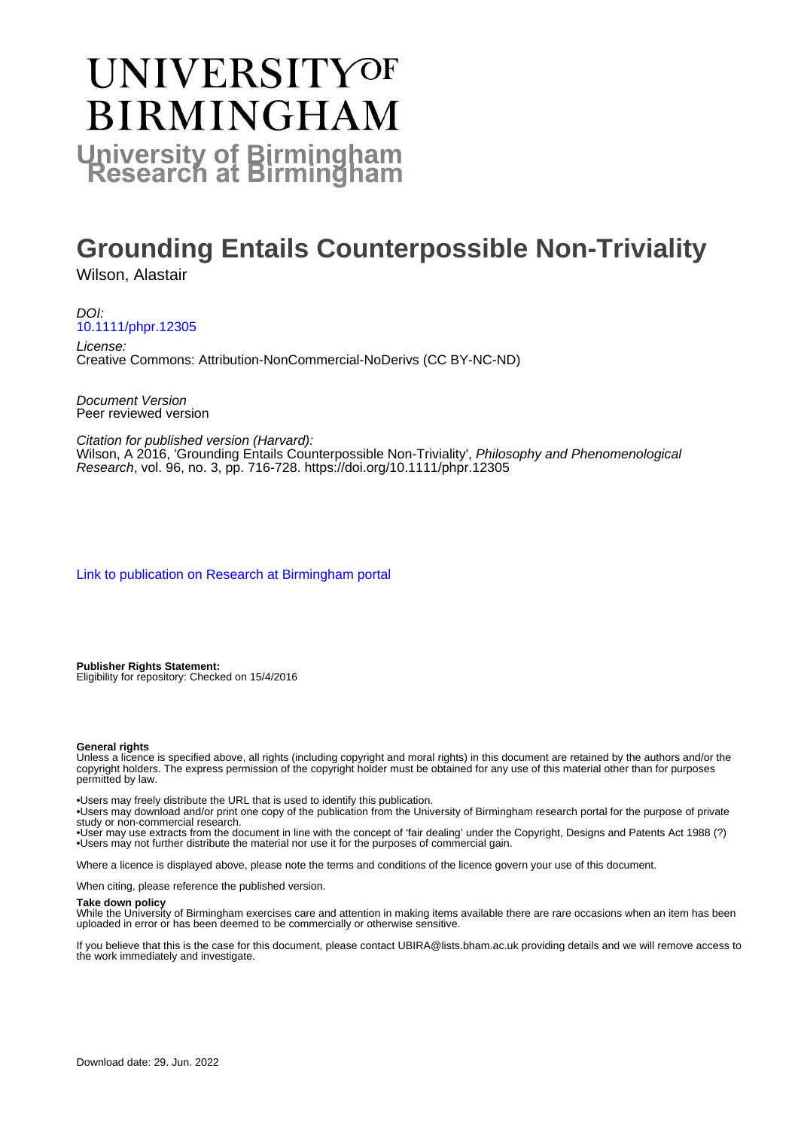# **UNIVERSITYOF BIRMINGHAM University of Birmingham**

# **Grounding Entails Counterpossible Non-Triviality**

Wilson, Alastair

DOI: [10.1111/phpr.12305](https://doi.org/10.1111/phpr.12305)

License: Creative Commons: Attribution-NonCommercial-NoDerivs (CC BY-NC-ND)

Document Version Peer reviewed version

Citation for published version (Harvard): Wilson, A 2016, 'Grounding Entails Counterpossible Non-Triviality', Philosophy and Phenomenological Research, vol. 96, no. 3, pp. 716-728.<https://doi.org/10.1111/phpr.12305>

[Link to publication on Research at Birmingham portal](https://birmingham.elsevierpure.com/en/publications/7a2a3a2b-3167-40bc-b2f8-5eb5ee0ed7b5)

**Publisher Rights Statement:** Eligibility for repository: Checked on 15/4/2016

#### **General rights**

Unless a licence is specified above, all rights (including copyright and moral rights) in this document are retained by the authors and/or the copyright holders. The express permission of the copyright holder must be obtained for any use of this material other than for purposes permitted by law.

• Users may freely distribute the URL that is used to identify this publication.

• Users may download and/or print one copy of the publication from the University of Birmingham research portal for the purpose of private study or non-commercial research.

• User may use extracts from the document in line with the concept of 'fair dealing' under the Copyright, Designs and Patents Act 1988 (?) • Users may not further distribute the material nor use it for the purposes of commercial gain.

Where a licence is displayed above, please note the terms and conditions of the licence govern your use of this document.

When citing, please reference the published version.

#### **Take down policy**

While the University of Birmingham exercises care and attention in making items available there are rare occasions when an item has been uploaded in error or has been deemed to be commercially or otherwise sensitive.

If you believe that this is the case for this document, please contact UBIRA@lists.bham.ac.uk providing details and we will remove access to the work immediately and investigate.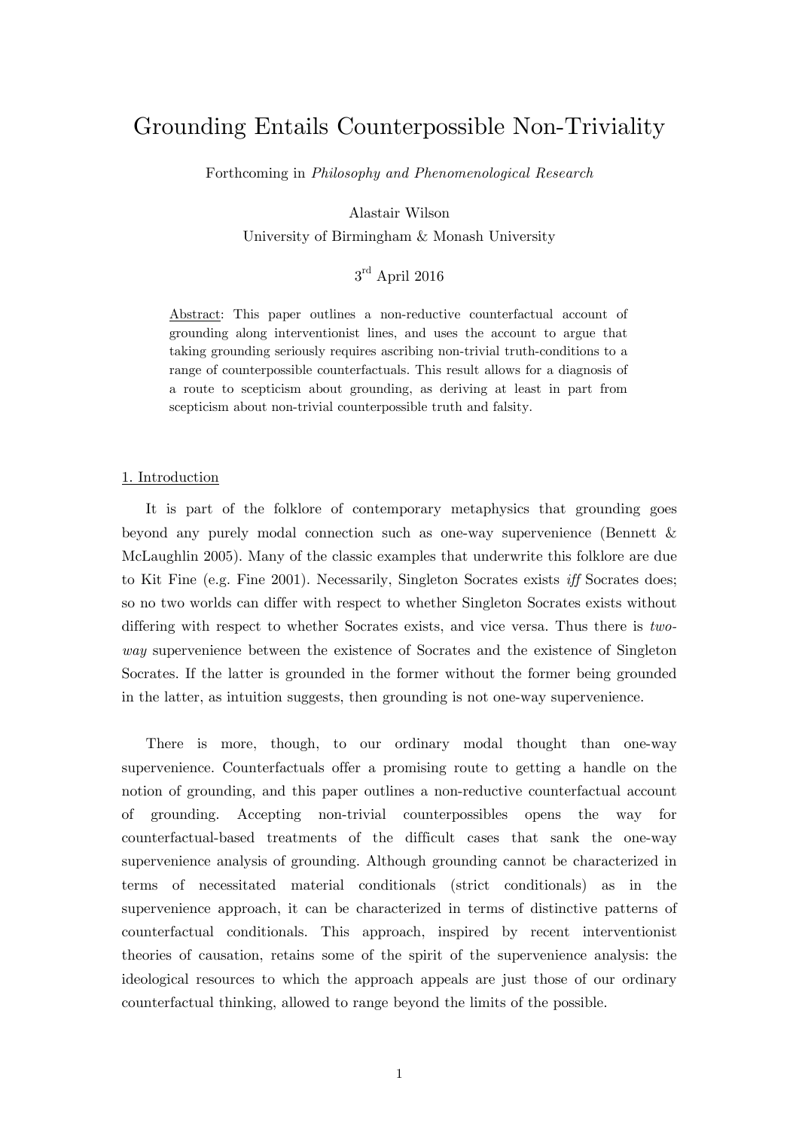# Grounding Entails Counterpossible Non-Triviality

Forthcoming in *Philosophy and Phenomenological Research*

Alastair Wilson

University of Birmingham & Monash University

## $3^{\rm rd}$  April 2016

Abstract: This paper outlines a non-reductive counterfactual account of grounding along interventionist lines, and uses the account to argue that taking grounding seriously requires ascribing non-trivial truth-conditions to a range of counterpossible counterfactuals. This result allows for a diagnosis of a route to scepticism about grounding, as deriving at least in part from scepticism about non-trivial counterpossible truth and falsity.

#### 1. Introduction

 It is part of the folklore of contemporary metaphysics that grounding goes beyond any purely modal connection such as one-way supervenience (Bennett & McLaughlin 2005). Many of the classic examples that underwrite this folklore are due to Kit Fine (e.g. Fine 2001). Necessarily, Singleton Socrates exists *iff* Socrates does; so no two worlds can differ with respect to whether Singleton Socrates exists without differing with respect to whether Socrates exists, and vice versa. Thus there is *twoway* supervenience between the existence of Socrates and the existence of Singleton Socrates. If the latter is grounded in the former without the former being grounded in the latter, as intuition suggests, then grounding is not one-way supervenience.

 There is more, though, to our ordinary modal thought than one-way supervenience. Counterfactuals offer a promising route to getting a handle on the notion of grounding, and this paper outlines a non-reductive counterfactual account of grounding. Accepting non-trivial counterpossibles opens the way for counterfactual-based treatments of the difficult cases that sank the one-way supervenience analysis of grounding. Although grounding cannot be characterized in terms of necessitated material conditionals (strict conditionals) as in the supervenience approach, it can be characterized in terms of distinctive patterns of counterfactual conditionals. This approach, inspired by recent interventionist theories of causation, retains some of the spirit of the supervenience analysis: the ideological resources to which the approach appeals are just those of our ordinary counterfactual thinking, allowed to range beyond the limits of the possible.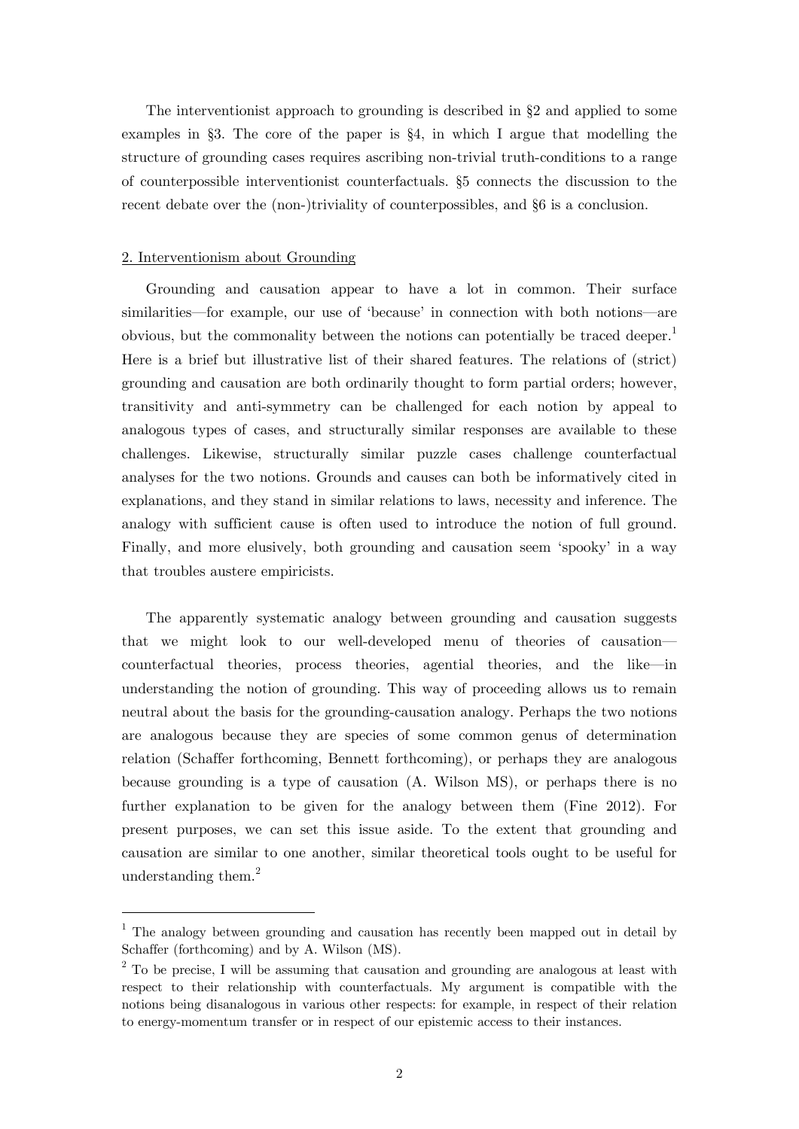The interventionist approach to grounding is described in §2 and applied to some examples in §3. The core of the paper is  $\S 4$ , in which I argue that modelling the structure of grounding cases requires ascribing non-trivial truth-conditions to a range of counterpossible interventionist counterfactuals. §5 connects the discussion to the recent debate over the (non-)triviality of counterpossibles, and §6 is a conclusion.

#### 2. Interventionism about Grounding

1

Grounding and causation appear to have a lot in common. Their surface similarities—for example, our use of 'because' in connection with both notions—are obvious, but the commonality between the notions can potentially be traced deeper.<sup>1</sup> Here is a brief but illustrative list of their shared features. The relations of (strict) grounding and causation are both ordinarily thought to form partial orders; however, transitivity and anti-symmetry can be challenged for each notion by appeal to analogous types of cases, and structurally similar responses are available to these challenges. Likewise, structurally similar puzzle cases challenge counterfactual analyses for the two notions. Grounds and causes can both be informatively cited in explanations, and they stand in similar relations to laws, necessity and inference. The analogy with sufficient cause is often used to introduce the notion of full ground. Finally, and more elusively, both grounding and causation seem ʻspooky' in a way that troubles austere empiricists.

The apparently systematic analogy between grounding and causation suggests that we might look to our well-developed menu of theories of causation counterfactual theories, process theories, agential theories, and the like—in understanding the notion of grounding. This way of proceeding allows us to remain neutral about the basis for the grounding-causation analogy. Perhaps the two notions are analogous because they are species of some common genus of determination relation (Schaffer forthcoming, Bennett forthcoming), or perhaps they are analogous because grounding is a type of causation (A. Wilson MS), or perhaps there is no further explanation to be given for the analogy between them (Fine 2012). For present purposes, we can set this issue aside. To the extent that grounding and causation are similar to one another, similar theoretical tools ought to be useful for understanding them. $^{2}$ 

<sup>&</sup>lt;sup>1</sup> The analogy between grounding and causation has recently been mapped out in detail by Schaffer (forthcoming) and by A. Wilson (MS).

 $2^2$  To be precise, I will be assuming that causation and grounding are analogous at least with respect to their relationship with counterfactuals. My argument is compatible with the notions being disanalogous in various other respects: for example, in respect of their relation to energy-momentum transfer or in respect of our epistemic access to their instances.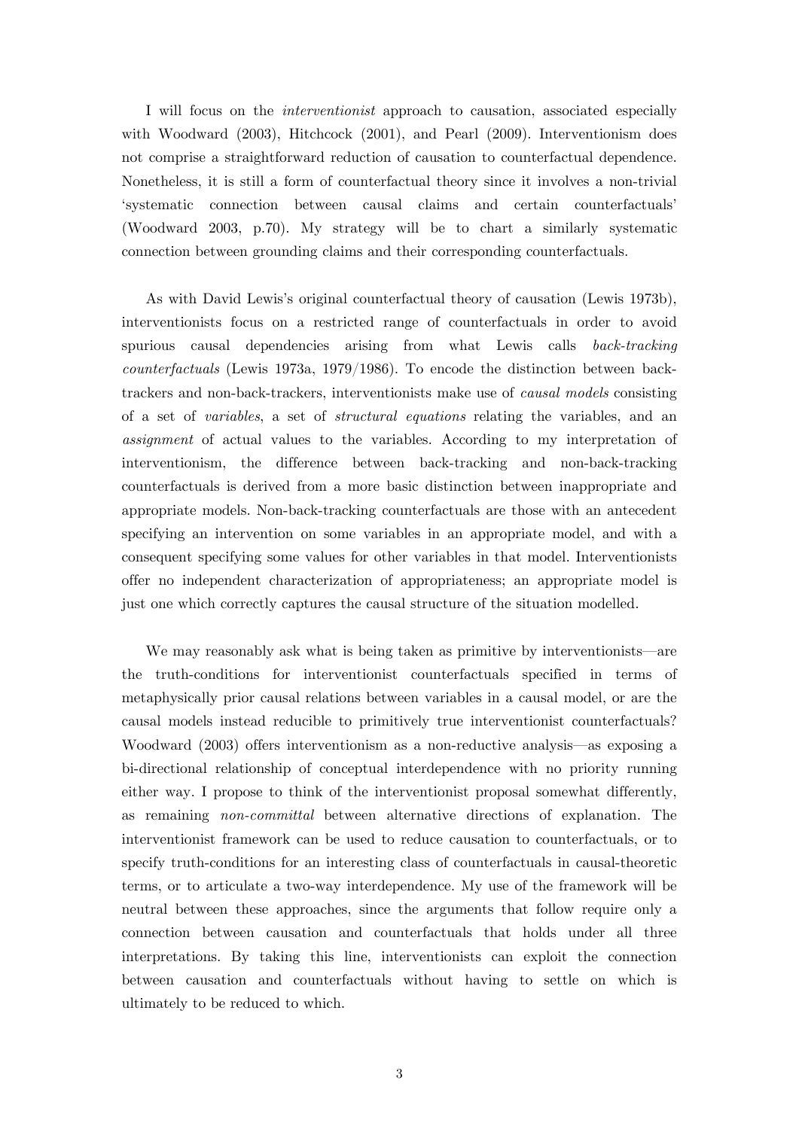I will focus on the *interventionist* approach to causation, associated especially with Woodward (2003), Hitchcock (2001), and Pearl (2009). Interventionism does not comprise a straightforward reduction of causation to counterfactual dependence. Nonetheless, it is still a form of counterfactual theory since it involves a non-trivial ʻsystematic connection between causal claims and certain counterfactuals' (Woodward 2003, p.70). My strategy will be to chart a similarly systematic connection between grounding claims and their corresponding counterfactuals.

As with David Lewis's original counterfactual theory of causation (Lewis 1973b), interventionists focus on a restricted range of counterfactuals in order to avoid spurious causal dependencies arising from what Lewis calls *back-tracking counterfactuals* (Lewis 1973a, 1979/1986). To encode the distinction between backtrackers and non-back-trackers, interventionists make use of *causal models* consisting of a set of *variables*, a set of *structural equations* relating the variables, and an *assignment* of actual values to the variables. According to my interpretation of interventionism, the difference between back-tracking and non-back-tracking counterfactuals is derived from a more basic distinction between inappropriate and appropriate models. Non-back-tracking counterfactuals are those with an antecedent specifying an intervention on some variables in an appropriate model, and with a consequent specifying some values for other variables in that model. Interventionists offer no independent characterization of appropriateness; an appropriate model is just one which correctly captures the causal structure of the situation modelled.

We may reasonably ask what is being taken as primitive by interventionists—are the truth-conditions for interventionist counterfactuals specified in terms of metaphysically prior causal relations between variables in a causal model, or are the causal models instead reducible to primitively true interventionist counterfactuals? Woodward (2003) offers interventionism as a non-reductive analysis—as exposing a bi-directional relationship of conceptual interdependence with no priority running either way. I propose to think of the interventionist proposal somewhat differently, as remaining *non-committal* between alternative directions of explanation. The interventionist framework can be used to reduce causation to counterfactuals, or to specify truth-conditions for an interesting class of counterfactuals in causal-theoretic terms, or to articulate a two-way interdependence. My use of the framework will be neutral between these approaches, since the arguments that follow require only a connection between causation and counterfactuals that holds under all three interpretations. By taking this line, interventionists can exploit the connection between causation and counterfactuals without having to settle on which is ultimately to be reduced to which.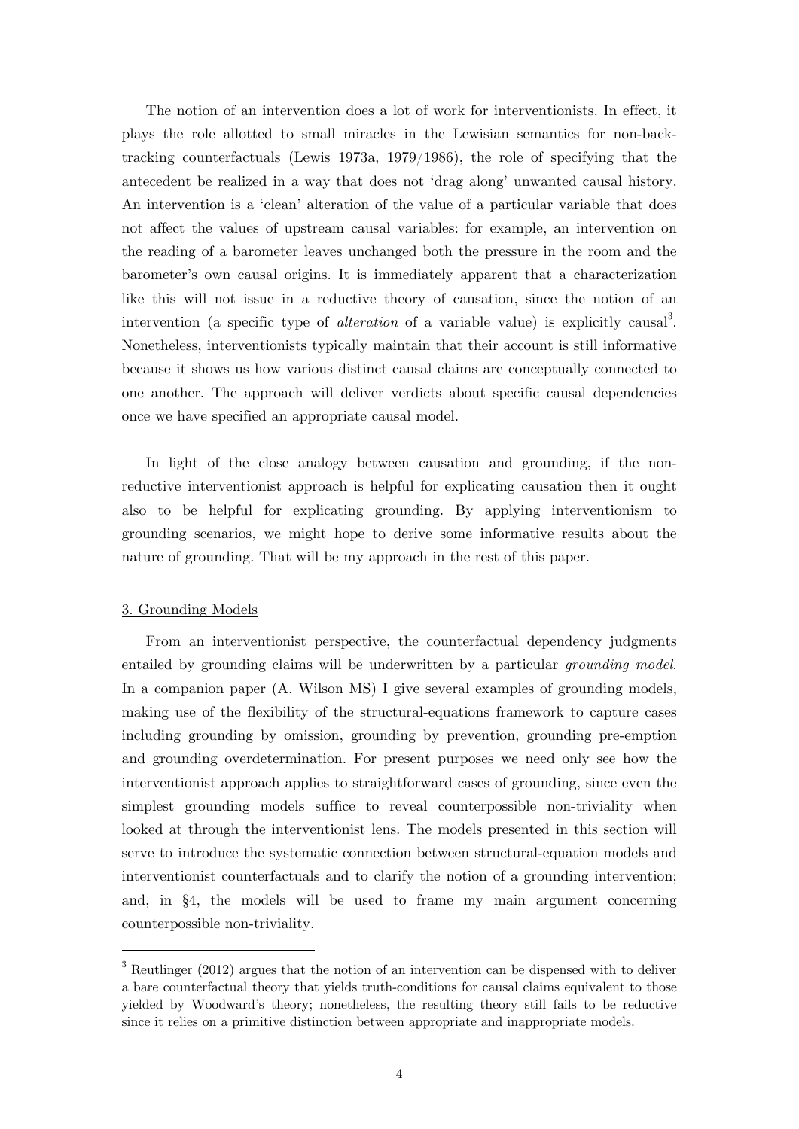The notion of an intervention does a lot of work for interventionists. In effect, it plays the role allotted to small miracles in the Lewisian semantics for non-backtracking counterfactuals (Lewis 1973a, 1979/1986), the role of specifying that the antecedent be realized in a way that does not ʻdrag along' unwanted causal history. An intervention is a ʻclean' alteration of the value of a particular variable that does not affect the values of upstream causal variables: for example, an intervention on the reading of a barometer leaves unchanged both the pressure in the room and the barometer's own causal origins. It is immediately apparent that a characterization like this will not issue in a reductive theory of causation, since the notion of an intervention (a specific type of *alteration* of a variable value) is explicitly causal<sup>3</sup>. Nonetheless, interventionists typically maintain that their account is still informative because it shows us how various distinct causal claims are conceptually connected to one another. The approach will deliver verdicts about specific causal dependencies once we have specified an appropriate causal model.

In light of the close analogy between causation and grounding, if the nonreductive interventionist approach is helpful for explicating causation then it ought also to be helpful for explicating grounding. By applying interventionism to grounding scenarios, we might hope to derive some informative results about the nature of grounding. That will be my approach in the rest of this paper.

## 3. Grounding Models

1

From an interventionist perspective, the counterfactual dependency judgments entailed by grounding claims will be underwritten by a particular *grounding model*. In a companion paper (A. Wilson MS) I give several examples of grounding models, making use of the flexibility of the structural-equations framework to capture cases including grounding by omission, grounding by prevention, grounding pre-emption and grounding overdetermination. For present purposes we need only see how the interventionist approach applies to straightforward cases of grounding, since even the simplest grounding models suffice to reveal counterpossible non-triviality when looked at through the interventionist lens. The models presented in this section will serve to introduce the systematic connection between structural-equation models and interventionist counterfactuals and to clarify the notion of a grounding intervention; and, in §4, the models will be used to frame my main argument concerning counterpossible non-triviality.

 $3$  Reutlinger (2012) argues that the notion of an intervention can be dispensed with to deliver a bare counterfactual theory that yields truth-conditions for causal claims equivalent to those yielded by Woodward's theory; nonetheless, the resulting theory still fails to be reductive since it relies on a primitive distinction between appropriate and inappropriate models.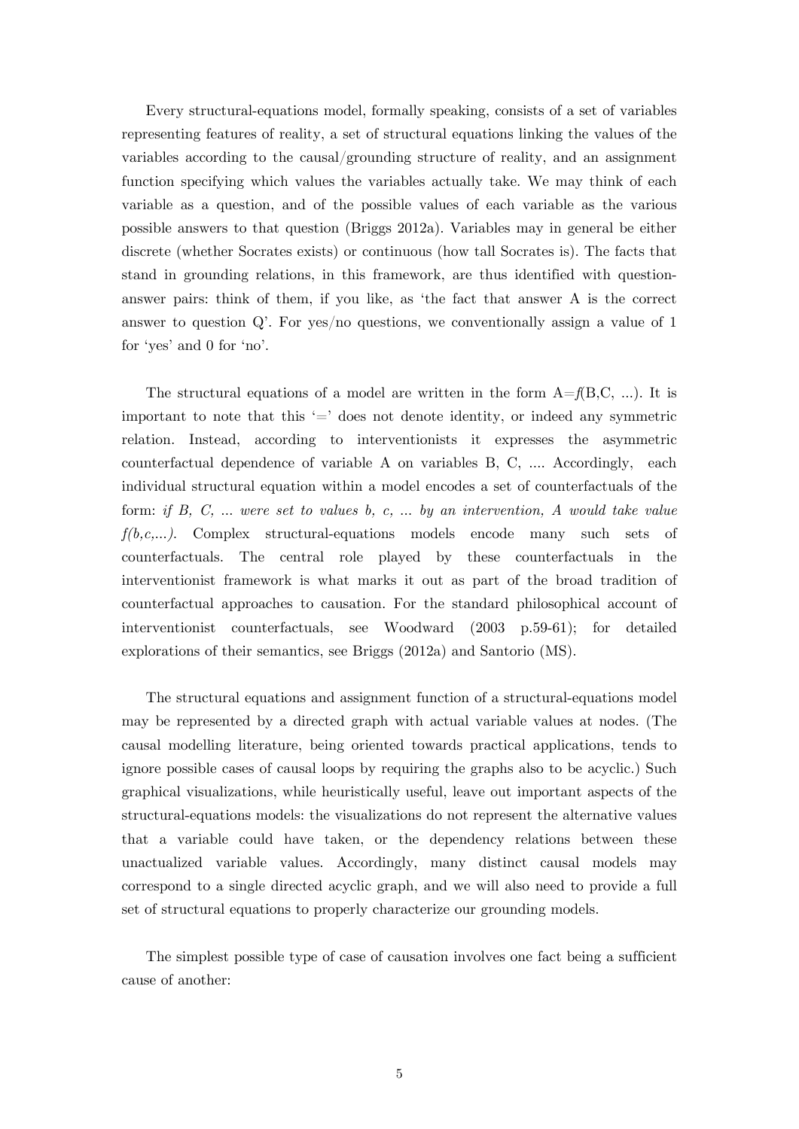Every structural-equations model, formally speaking, consists of a set of variables representing features of reality, a set of structural equations linking the values of the variables according to the causal/grounding structure of reality, and an assignment function specifying which values the variables actually take. We may think of each variable as a question, and of the possible values of each variable as the various possible answers to that question (Briggs 2012a). Variables may in general be either discrete (whether Socrates exists) or continuous (how tall Socrates is). The facts that stand in grounding relations, in this framework, are thus identified with questionanswer pairs: think of them, if you like, as ʻthe fact that answer A is the correct answer to question  $Q'$ . For yes/no questions, we conventionally assign a value of 1 for ʻyes' and 0 for ʻno'.

The structural equations of a model are written in the form  $A=f(B,C,\ldots)$ . It is important to note that this  $\equiv$  does not denote identity, or indeed any symmetric relation. Instead, according to interventionists it expresses the asymmetric counterfactual dependence of variable A on variables B, C, …. Accordingly, each individual structural equation within a model encodes a set of counterfactuals of the form: *if B, C,* … *were set to values b, c,* … *by an intervention, A would take value f(b,c,*…*)*. Complex structural-equations models encode many such sets of counterfactuals. The central role played by these counterfactuals in the interventionist framework is what marks it out as part of the broad tradition of counterfactual approaches to causation. For the standard philosophical account of interventionist counterfactuals, see Woodward (2003 p.59-61); for detailed explorations of their semantics, see Briggs (2012a) and Santorio (MS).

The structural equations and assignment function of a structural-equations model may be represented by a directed graph with actual variable values at nodes. (The causal modelling literature, being oriented towards practical applications, tends to ignore possible cases of causal loops by requiring the graphs also to be acyclic.) Such graphical visualizations, while heuristically useful, leave out important aspects of the structural-equations models: the visualizations do not represent the alternative values that a variable could have taken, or the dependency relations between these unactualized variable values. Accordingly, many distinct causal models may correspond to a single directed acyclic graph, and we will also need to provide a full set of structural equations to properly characterize our grounding models.

The simplest possible type of case of causation involves one fact being a sufficient cause of another: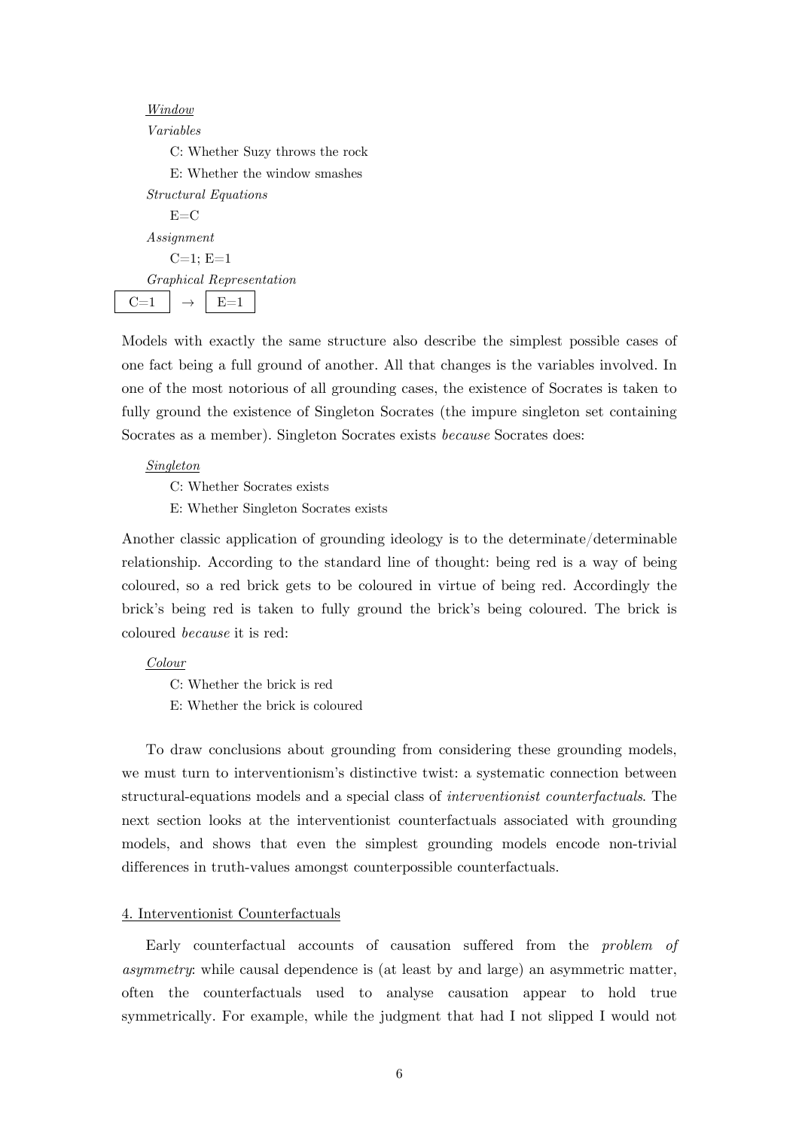Models with exactly the same structure also describe the simplest possible cases of one fact being a full ground of another. All that changes is the variables involved. In one of the most notorious of all grounding cases, the existence of Socrates is taken to fully ground the existence of Singleton Socrates (the impure singleton set containing Socrates as a member). Singleton Socrates exists *because* Socrates does:

#### *Singleton*

C: Whether Socrates exists

E: Whether Singleton Socrates exists

Another classic application of grounding ideology is to the determinate/determinable relationship. According to the standard line of thought: being red is a way of being coloured, so a red brick gets to be coloured in virtue of being red. Accordingly the brick's being red is taken to fully ground the brick's being coloured. The brick is coloured *because* it is red:

#### *Colour*

C: Whether the brick is red

E: Whether the brick is coloured

 To draw conclusions about grounding from considering these grounding models, we must turn to interventionism's distinctive twist: a systematic connection between structural-equations models and a special class of *interventionist counterfactuals*. The next section looks at the interventionist counterfactuals associated with grounding models, and shows that even the simplest grounding models encode non-trivial differences in truth-values amongst counterpossible counterfactuals.

#### 4. Interventionist Counterfactuals

 Early counterfactual accounts of causation suffered from the *problem of asymmetry*: while causal dependence is (at least by and large) an asymmetric matter, often the counterfactuals used to analyse causation appear to hold true symmetrically. For example, while the judgment that had I not slipped I would not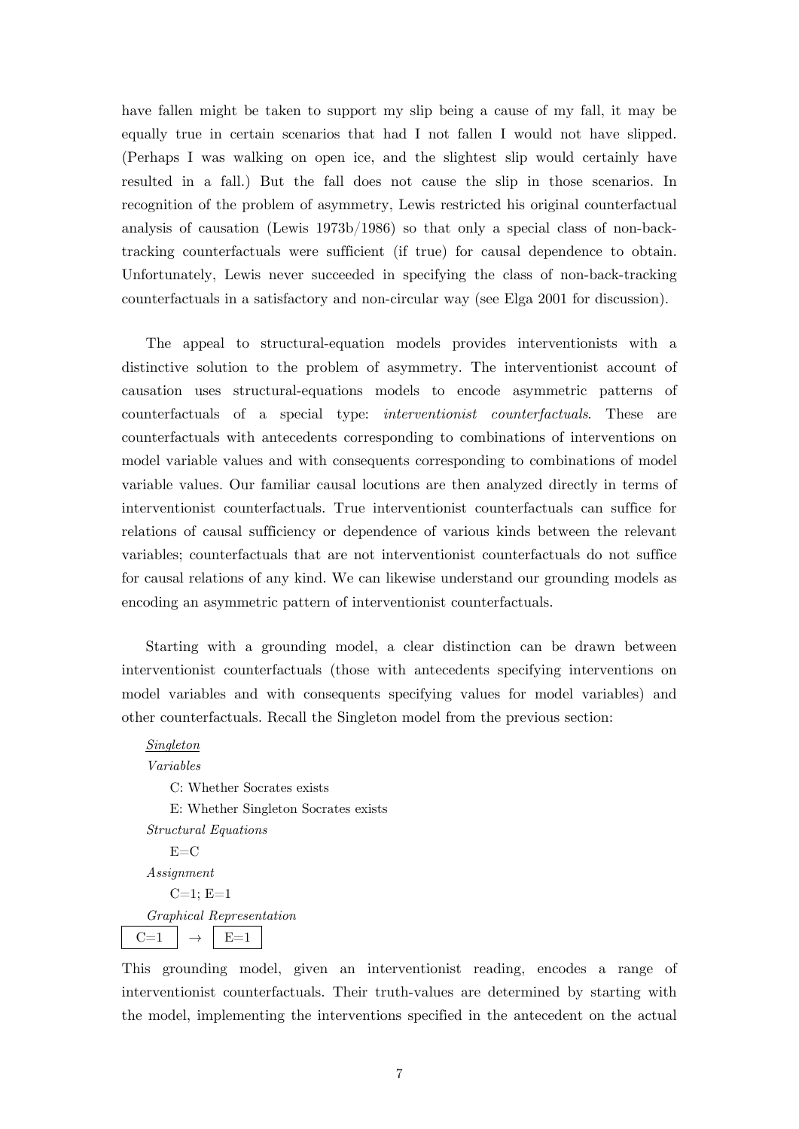have fallen might be taken to support my slip being a cause of my fall, it may be equally true in certain scenarios that had I not fallen I would not have slipped. (Perhaps I was walking on open ice, and the slightest slip would certainly have resulted in a fall.) But the fall does not cause the slip in those scenarios. In recognition of the problem of asymmetry, Lewis restricted his original counterfactual analysis of causation (Lewis 1973b/1986) so that only a special class of non-backtracking counterfactuals were sufficient (if true) for causal dependence to obtain. Unfortunately, Lewis never succeeded in specifying the class of non-back-tracking counterfactuals in a satisfactory and non-circular way (see Elga 2001 for discussion).

 The appeal to structural-equation models provides interventionists with a distinctive solution to the problem of asymmetry. The interventionist account of causation uses structural-equations models to encode asymmetric patterns of counterfactuals of a special type: *interventionist counterfactuals*. These are counterfactuals with antecedents corresponding to combinations of interventions on model variable values and with consequents corresponding to combinations of model variable values. Our familiar causal locutions are then analyzed directly in terms of interventionist counterfactuals. True interventionist counterfactuals can suffice for relations of causal sufficiency or dependence of various kinds between the relevant variables; counterfactuals that are not interventionist counterfactuals do not suffice for causal relations of any kind. We can likewise understand our grounding models as encoding an asymmetric pattern of interventionist counterfactuals.

 Starting with a grounding model, a clear distinction can be drawn between interventionist counterfactuals (those with antecedents specifying interventions on model variables and with consequents specifying values for model variables) and other counterfactuals. Recall the Singleton model from the previous section:

## *Singleton Variables*

C: Whether Socrates exists E: Whether Singleton Socrates exists *Structural Equations*   $E=$ C *Assignment*  $C=1; E=1$ *Graphical Representation*   $C=1$   $\rightarrow$   $E=1$ 

This grounding model, given an interventionist reading, encodes a range of interventionist counterfactuals. Their truth-values are determined by starting with the model, implementing the interventions specified in the antecedent on the actual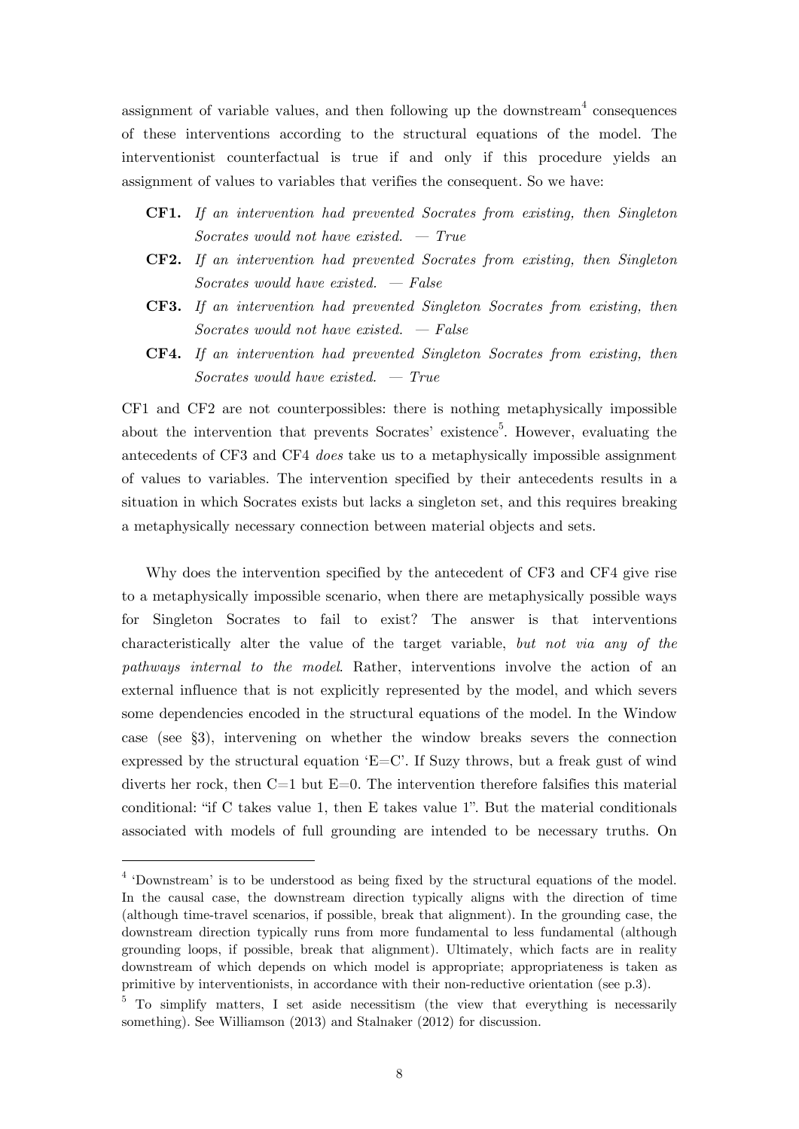assignment of variable values, and then following up the downstream<sup>4</sup> consequences of these interventions according to the structural equations of the model. The interventionist counterfactual is true if and only if this procedure yields an assignment of values to variables that verifies the consequent. So we have:

- **CF1.** *If an intervention had prevented Socrates from existing, then Singleton Socrates would not have existed. — True*
- **CF2.** *If an intervention had prevented Socrates from existing, then Singleton Socrates would have existed. — False*
- **CF3.** *If an intervention had prevented Singleton Socrates from existing, then Socrates would not have existed. — False*
- **CF4.** *If an intervention had prevented Singleton Socrates from existing, then Socrates would have existed. — True*

CF1 and CF2 are not counterpossibles: there is nothing metaphysically impossible about the intervention that prevents Socrates' existence<sup>5</sup>. However, evaluating the antecedents of CF3 and CF4 *does* take us to a metaphysically impossible assignment of values to variables. The intervention specified by their antecedents results in a situation in which Socrates exists but lacks a singleton set, and this requires breaking a metaphysically necessary connection between material objects and sets.

Why does the intervention specified by the antecedent of CF3 and CF4 give rise to a metaphysically impossible scenario, when there are metaphysically possible ways for Singleton Socrates to fail to exist? The answer is that interventions characteristically alter the value of the target variable, *but not via any of the pathways internal to the model*. Rather, interventions involve the action of an external influence that is not explicitly represented by the model, and which severs some dependencies encoded in the structural equations of the model. In the Window case (see §3), intervening on whether the window breaks severs the connection expressed by the structural equation  $E=C'$ . If Suzy throws, but a freak gust of wind diverts her rock, then  $C=1$  but  $E=0$ . The intervention therefore falsifies this material conditional: "if C takes value 1, then E takes value 1". But the material conditionals associated with models of full grounding are intended to be necessary truths. On

<sup>&</sup>lt;sup>4</sup> 'Downstream' is to be understood as being fixed by the structural equations of the model. In the causal case, the downstream direction typically aligns with the direction of time (although time-travel scenarios, if possible, break that alignment). In the grounding case, the downstream direction typically runs from more fundamental to less fundamental (although grounding loops, if possible, break that alignment). Ultimately, which facts are in reality downstream of which depends on which model is appropriate; appropriateness is taken as primitive by interventionists, in accordance with their non-reductive orientation (see p.3).

<sup>&</sup>lt;sup>5</sup> To simplify matters, I set aside necessitism (the view that everything is necessarily something). See Williamson (2013) and Stalnaker (2012) for discussion.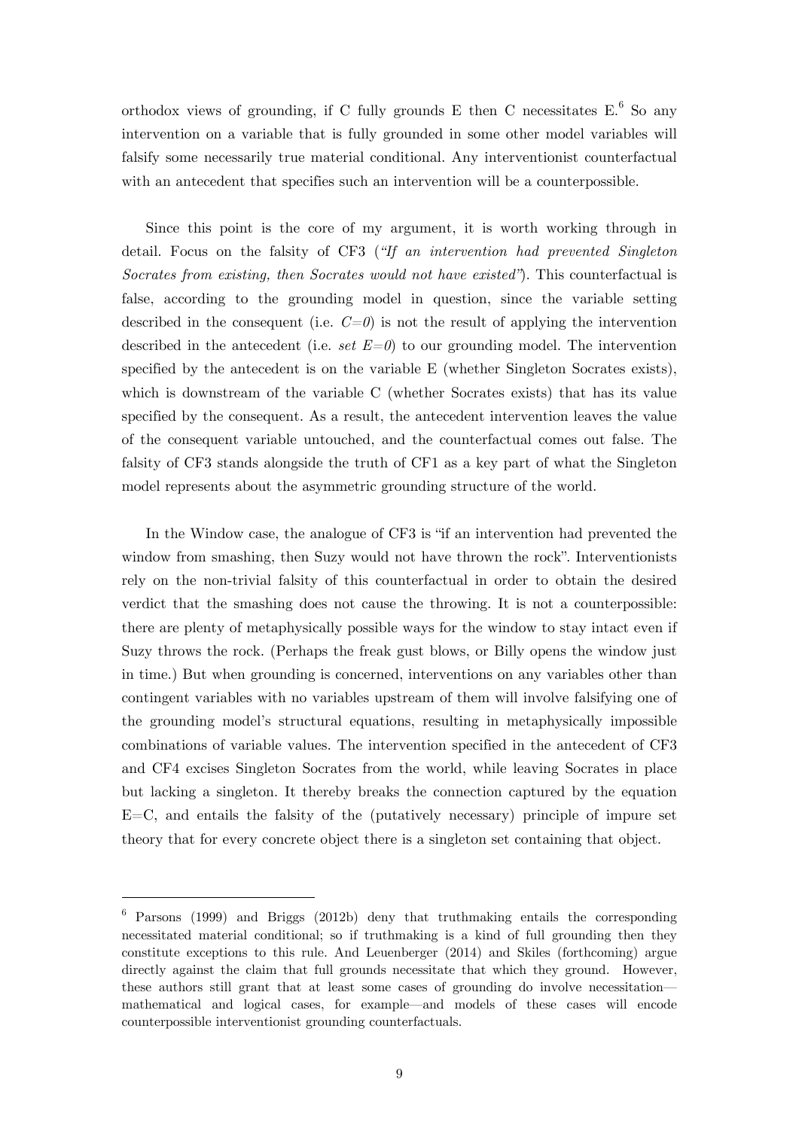orthodox views of grounding, if C fully grounds E then C necessitates  $E^6$  So any intervention on a variable that is fully grounded in some other model variables will falsify some necessarily true material conditional. Any interventionist counterfactual with an antecedent that specifies such an intervention will be a counterpossible.

 Since this point is the core of my argument, it is worth working through in detail. Focus on the falsity of CF3 (*"If an intervention had prevented Singleton Socrates from existing, then Socrates would not have existed"*). This counterfactual is false, according to the grounding model in question, since the variable setting described in the consequent (i.e.  $C=0$ ) is not the result of applying the intervention described in the antecedent (i.e. *set*  $E=0$ ) to our grounding model. The intervention specified by the antecedent is on the variable E (whether Singleton Socrates exists), which is downstream of the variable C (whether Socrates exists) that has its value specified by the consequent. As a result, the antecedent intervention leaves the value of the consequent variable untouched, and the counterfactual comes out false. The falsity of CF3 stands alongside the truth of CF1 as a key part of what the Singleton model represents about the asymmetric grounding structure of the world.

In the Window case, the analogue of CF3 is "if an intervention had prevented the window from smashing, then Suzy would not have thrown the rock". Interventionists rely on the non-trivial falsity of this counterfactual in order to obtain the desired verdict that the smashing does not cause the throwing. It is not a counterpossible: there are plenty of metaphysically possible ways for the window to stay intact even if Suzy throws the rock. (Perhaps the freak gust blows, or Billy opens the window just in time.) But when grounding is concerned, interventions on any variables other than contingent variables with no variables upstream of them will involve falsifying one of the grounding model's structural equations, resulting in metaphysically impossible combinations of variable values. The intervention specified in the antecedent of CF3 and CF4 excises Singleton Socrates from the world, while leaving Socrates in place but lacking a singleton. It thereby breaks the connection captured by the equation  $E=C$ , and entails the falsity of the (putatively necessary) principle of impure set theory that for every concrete object there is a singleton set containing that object.

<sup>6</sup> Parsons (1999) and Briggs (2012b) deny that truthmaking entails the corresponding necessitated material conditional; so if truthmaking is a kind of full grounding then they constitute exceptions to this rule. And Leuenberger (2014) and Skiles (forthcoming) argue directly against the claim that full grounds necessitate that which they ground. However, these authors still grant that at least some cases of grounding do involve necessitation mathematical and logical cases, for example—and models of these cases will encode counterpossible interventionist grounding counterfactuals.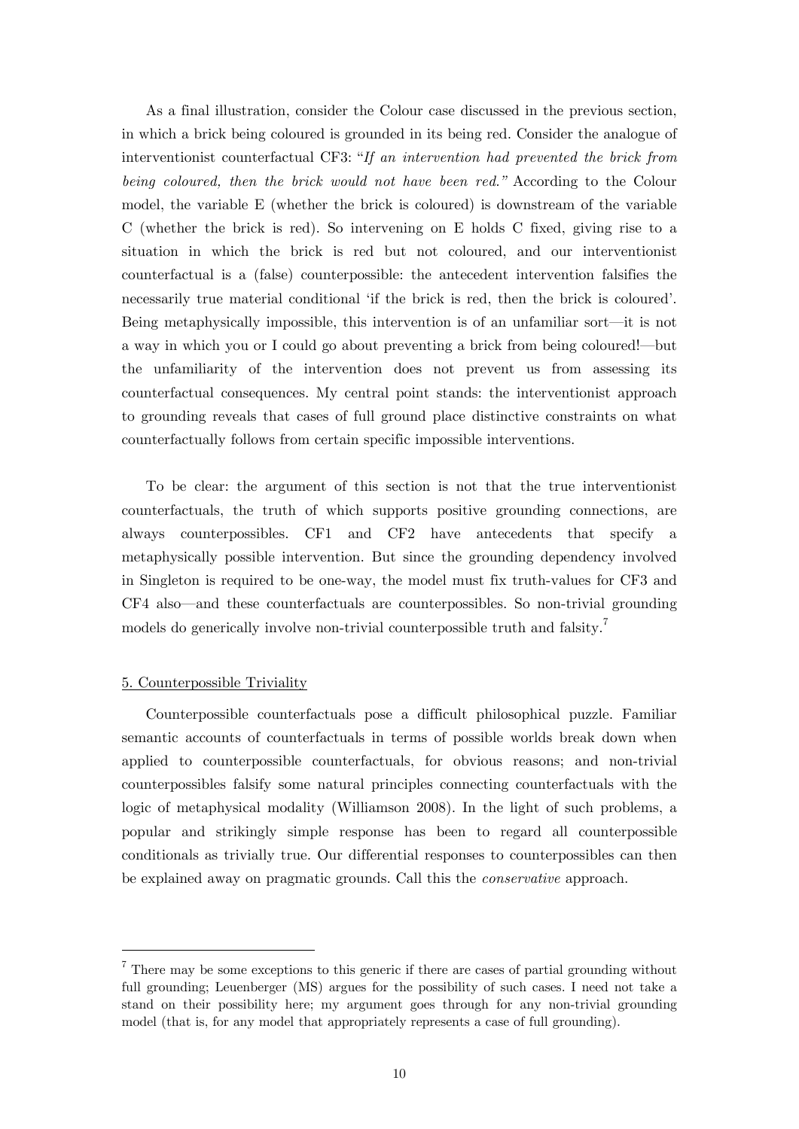As a final illustration, consider the Colour case discussed in the previous section, in which a brick being coloured is grounded in its being red. Consider the analogue of interventionist counterfactual CF3: "*If an intervention had prevented the brick from being coloured, then the brick would not have been red."* According to the Colour model, the variable E (whether the brick is coloured) is downstream of the variable C (whether the brick is red). So intervening on E holds C fixed, giving rise to a situation in which the brick is red but not coloured, and our interventionist counterfactual is a (false) counterpossible: the antecedent intervention falsifies the necessarily true material conditional 'if the brick is red, then the brick is coloured'. Being metaphysically impossible, this intervention is of an unfamiliar sort—it is not a way in which you or I could go about preventing a brick from being coloured!—but the unfamiliarity of the intervention does not prevent us from assessing its counterfactual consequences. My central point stands: the interventionist approach to grounding reveals that cases of full ground place distinctive constraints on what counterfactually follows from certain specific impossible interventions.

 To be clear: the argument of this section is not that the true interventionist counterfactuals, the truth of which supports positive grounding connections, are always counterpossibles. CF1 and CF2 have antecedents that specify a metaphysically possible intervention. But since the grounding dependency involved in Singleton is required to be one-way, the model must fix truth-values for CF3 and CF4 also—and these counterfactuals are counterpossibles. So non-trivial grounding models do generically involve non-trivial counterpossible truth and falsity.<sup>7</sup>

### 5. Counterpossible Triviality

1

Counterpossible counterfactuals pose a difficult philosophical puzzle. Familiar semantic accounts of counterfactuals in terms of possible worlds break down when applied to counterpossible counterfactuals, for obvious reasons; and non-trivial counterpossibles falsify some natural principles connecting counterfactuals with the logic of metaphysical modality (Williamson 2008). In the light of such problems, a popular and strikingly simple response has been to regard all counterpossible conditionals as trivially true. Our differential responses to counterpossibles can then be explained away on pragmatic grounds. Call this the *conservative* approach.

 $7$  There may be some exceptions to this generic if there are cases of partial grounding without full grounding; Leuenberger (MS) argues for the possibility of such cases. I need not take a stand on their possibility here; my argument goes through for any non-trivial grounding model (that is, for any model that appropriately represents a case of full grounding).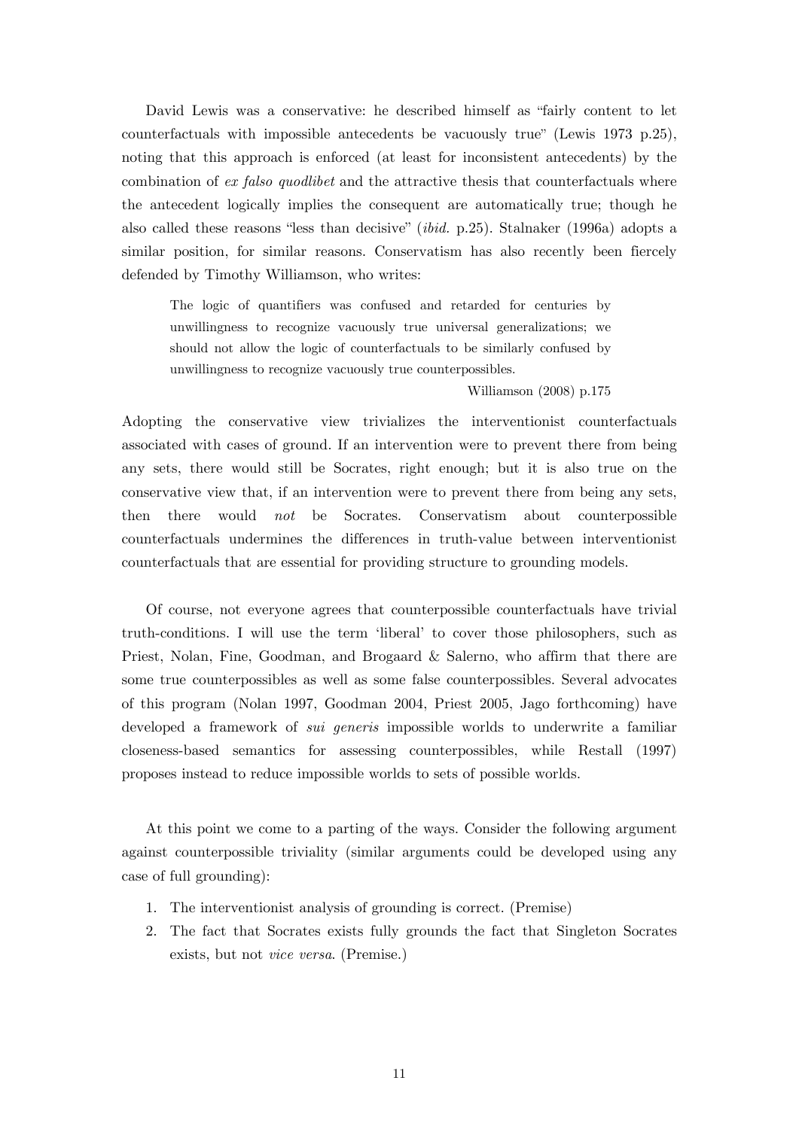David Lewis was a conservative: he described himself as "fairly content to let counterfactuals with impossible antecedents be vacuously true" (Lewis 1973 p.25), noting that this approach is enforced (at least for inconsistent antecedents) by the combination of *ex falso quodlibet* and the attractive thesis that counterfactuals where the antecedent logically implies the consequent are automatically true; though he also called these reasons "less than decisive" (*ibid.* p.25). Stalnaker (1996a) adopts a similar position, for similar reasons. Conservatism has also recently been fiercely defended by Timothy Williamson, who writes:

The logic of quantifiers was confused and retarded for centuries by unwillingness to recognize vacuously true universal generalizations; we should not allow the logic of counterfactuals to be similarly confused by unwillingness to recognize vacuously true counterpossibles.

#### Williamson (2008) p.175

Adopting the conservative view trivializes the interventionist counterfactuals associated with cases of ground. If an intervention were to prevent there from being any sets, there would still be Socrates, right enough; but it is also true on the conservative view that, if an intervention were to prevent there from being any sets, then there would *not* be Socrates. Conservatism about counterpossible counterfactuals undermines the differences in truth-value between interventionist counterfactuals that are essential for providing structure to grounding models.

Of course, not everyone agrees that counterpossible counterfactuals have trivial truth-conditions. I will use the term ʻliberal' to cover those philosophers, such as Priest, Nolan, Fine, Goodman, and Brogaard & Salerno, who affirm that there are some true counterpossibles as well as some false counterpossibles. Several advocates of this program (Nolan 1997, Goodman 2004, Priest 2005, Jago forthcoming) have developed a framework of *sui generis* impossible worlds to underwrite a familiar closeness-based semantics for assessing counterpossibles, while Restall (1997) proposes instead to reduce impossible worlds to sets of possible worlds.

At this point we come to a parting of the ways. Consider the following argument against counterpossible triviality (similar arguments could be developed using any case of full grounding):

- 1. The interventionist analysis of grounding is correct. (Premise)
- 2. The fact that Socrates exists fully grounds the fact that Singleton Socrates exists, but not *vice versa*. (Premise.)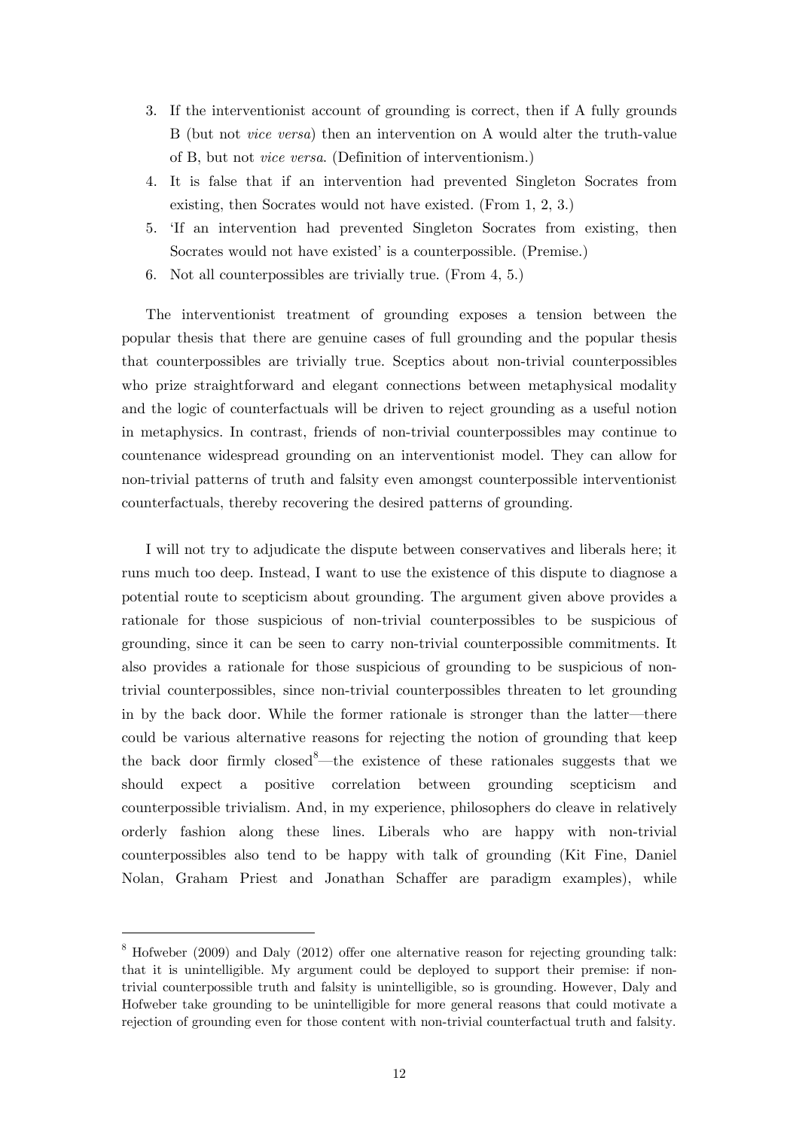- 3. If the interventionist account of grounding is correct, then if A fully grounds B (but not *vice versa*) then an intervention on A would alter the truth-value of B, but not *vice versa*. (Definition of interventionism.)
- 4. It is false that if an intervention had prevented Singleton Socrates from existing, then Socrates would not have existed. (From 1, 2, 3.)
- 5. ʻIf an intervention had prevented Singleton Socrates from existing, then Socrates would not have existed' is a counterpossible. (Premise.)
- 6. Not all counterpossibles are trivially true. (From 4, 5.)

The interventionist treatment of grounding exposes a tension between the popular thesis that there are genuine cases of full grounding and the popular thesis that counterpossibles are trivially true. Sceptics about non-trivial counterpossibles who prize straightforward and elegant connections between metaphysical modality and the logic of counterfactuals will be driven to reject grounding as a useful notion in metaphysics. In contrast, friends of non-trivial counterpossibles may continue to countenance widespread grounding on an interventionist model. They can allow for non-trivial patterns of truth and falsity even amongst counterpossible interventionist counterfactuals, thereby recovering the desired patterns of grounding.

 I will not try to adjudicate the dispute between conservatives and liberals here; it runs much too deep. Instead, I want to use the existence of this dispute to diagnose a potential route to scepticism about grounding. The argument given above provides a rationale for those suspicious of non-trivial counterpossibles to be suspicious of grounding, since it can be seen to carry non-trivial counterpossible commitments. It also provides a rationale for those suspicious of grounding to be suspicious of nontrivial counterpossibles, since non-trivial counterpossibles threaten to let grounding in by the back door. While the former rationale is stronger than the latter—there could be various alternative reasons for rejecting the notion of grounding that keep the back door firmly closed <sup>8</sup>—the existence of these rationales suggests that we should expect a positive correlation between grounding scepticism and counterpossible trivialism. And, in my experience, philosophers do cleave in relatively orderly fashion along these lines. Liberals who are happy with non-trivial counterpossibles also tend to be happy with talk of grounding (Kit Fine, Daniel Nolan, Graham Priest and Jonathan Schaffer are paradigm examples), while

 $8$  Hofweber (2009) and Daly (2012) offer one alternative reason for rejecting grounding talk: that it is unintelligible. My argument could be deployed to support their premise: if nontrivial counterpossible truth and falsity is unintelligible, so is grounding. However, Daly and Hofweber take grounding to be unintelligible for more general reasons that could motivate a rejection of grounding even for those content with non-trivial counterfactual truth and falsity.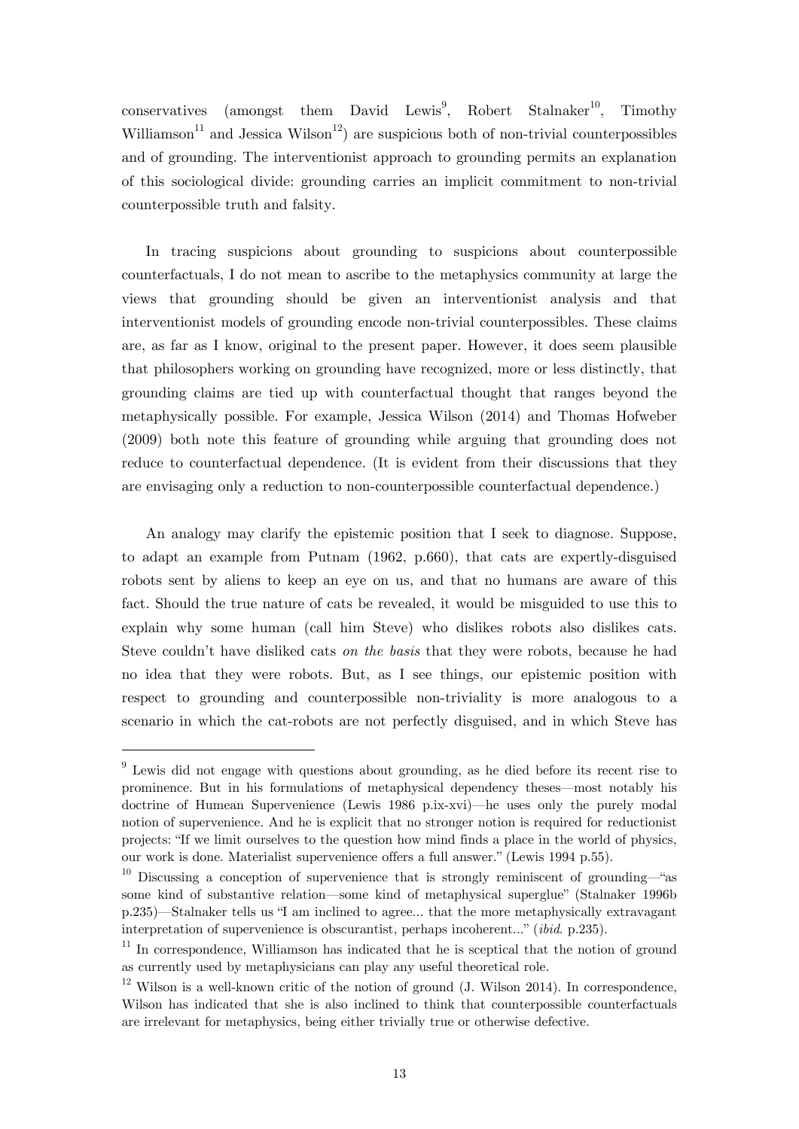$\text{conservative}$  (amongst them David Lewis<sup>9</sup>, Robert Stalnaker<sup>10</sup>, Timothy Williamson<sup>11</sup> and Jessica Wilson<sup>12</sup>) are suspicious both of non-trivial counterpossibles and of grounding. The interventionist approach to grounding permits an explanation of this sociological divide: grounding carries an implicit commitment to non-trivial counterpossible truth and falsity.

In tracing suspicions about grounding to suspicions about counterpossible counterfactuals, I do not mean to ascribe to the metaphysics community at large the views that grounding should be given an interventionist analysis and that interventionist models of grounding encode non-trivial counterpossibles. These claims are, as far as I know, original to the present paper. However, it does seem plausible that philosophers working on grounding have recognized, more or less distinctly, that grounding claims are tied up with counterfactual thought that ranges beyond the metaphysically possible. For example, Jessica Wilson (2014) and Thomas Hofweber (2009) both note this feature of grounding while arguing that grounding does not reduce to counterfactual dependence. (It is evident from their discussions that they are envisaging only a reduction to non-counterpossible counterfactual dependence.)

 An analogy may clarify the epistemic position that I seek to diagnose. Suppose, to adapt an example from Putnam (1962, p.660), that cats are expertly-disguised robots sent by aliens to keep an eye on us, and that no humans are aware of this fact. Should the true nature of cats be revealed, it would be misguided to use this to explain why some human (call him Steve) who dislikes robots also dislikes cats. Steve couldn't have disliked cats *on the basis* that they were robots, because he had no idea that they were robots. But, as I see things, our epistemic position with respect to grounding and counterpossible non-triviality is more analogous to a scenario in which the cat-robots are not perfectly disguised, and in which Steve has

<sup>&</sup>lt;sup>9</sup> Lewis did not engage with questions about grounding, as he died before its recent rise to prominence. But in his formulations of metaphysical dependency theses—most notably his doctrine of Humean Supervenience (Lewis 1986 p.ix-xvi)—he uses only the purely modal notion of supervenience. And he is explicit that no stronger notion is required for reductionist projects: "If we limit ourselves to the question how mind finds a place in the world of physics, our work is done. Materialist supervenience offers a full answer." (Lewis 1994 p.55).

<sup>&</sup>lt;sup>10</sup> Discussing a conception of supervenience that is strongly reminiscent of grounding—"as some kind of substantive relation—some kind of metaphysical superglue" (Stalnaker 1996b p.235)—Stalnaker tells us "I am inclined to agree... that the more metaphysically extravagant interpretation of supervenience is obscurantist, perhaps incoherent..." (*ibid*. p.235).

 $11$  In correspondence. Williamson has indicated that he is sceptical that the notion of ground as currently used by metaphysicians can play any useful theoretical role.

 $12$  Wilson is a well-known critic of the notion of ground (J. Wilson 2014). In correspondence, Wilson has indicated that she is also inclined to think that counterpossible counterfactuals are irrelevant for metaphysics, being either trivially true or otherwise defective.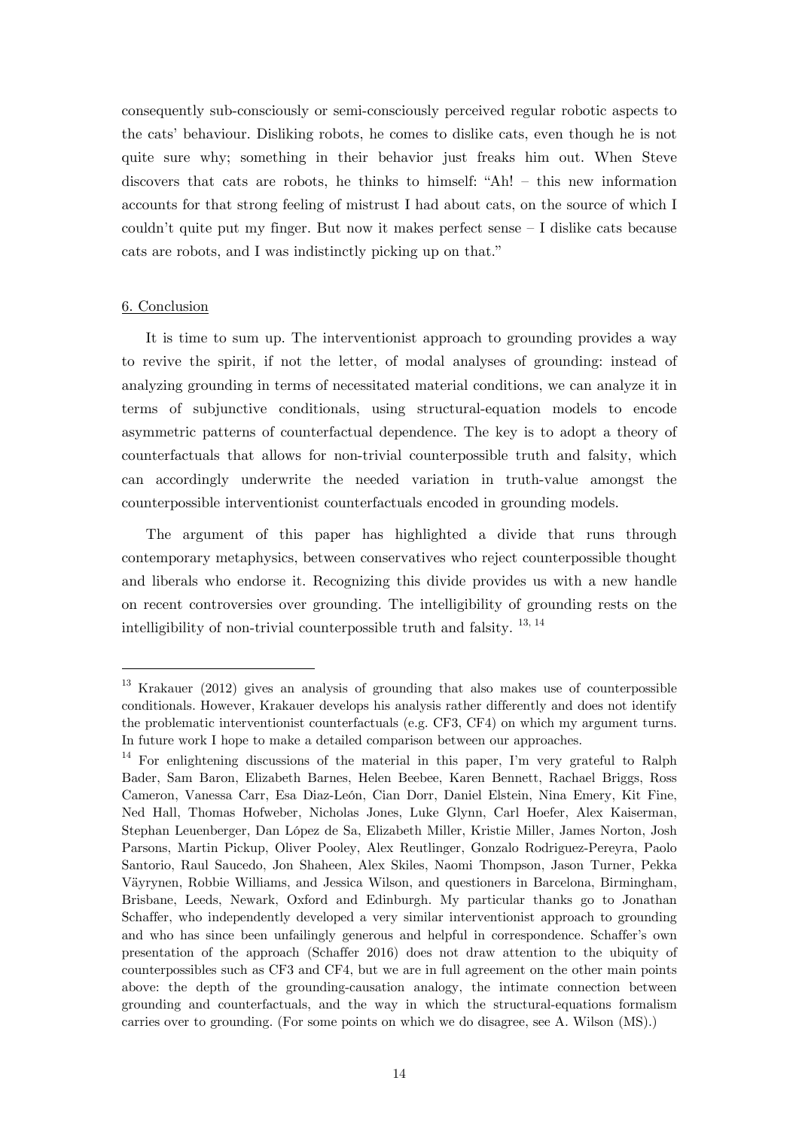consequently sub-consciously or semi-consciously perceived regular robotic aspects to the cats' behaviour. Disliking robots, he comes to dislike cats, even though he is not quite sure why; something in their behavior just freaks him out. When Steve discovers that cats are robots, he thinks to himself: "Ah! – this new information accounts for that strong feeling of mistrust I had about cats, on the source of which I couldn't quite put my finger. But now it makes perfect sense – I dislike cats because cats are robots, and I was indistinctly picking up on that."

#### 6. Conclusion

1

 It is time to sum up. The interventionist approach to grounding provides a way to revive the spirit, if not the letter, of modal analyses of grounding: instead of analyzing grounding in terms of necessitated material conditions, we can analyze it in terms of subjunctive conditionals, using structural-equation models to encode asymmetric patterns of counterfactual dependence. The key is to adopt a theory of counterfactuals that allows for non-trivial counterpossible truth and falsity, which can accordingly underwrite the needed variation in truth-value amongst the counterpossible interventionist counterfactuals encoded in grounding models.

 The argument of this paper has highlighted a divide that runs through contemporary metaphysics, between conservatives who reject counterpossible thought and liberals who endorse it. Recognizing this divide provides us with a new handle on recent controversies over grounding. The intelligibility of grounding rests on the intelligibility of non-trivial counterpossible truth and falsity.  $^{13, 14}$ 

<sup>13</sup> Krakauer (2012) gives an analysis of grounding that also makes use of counterpossible conditionals. However, Krakauer develops his analysis rather differently and does not identify the problematic interventionist counterfactuals (e.g. CF3, CF4) on which my argument turns. In future work I hope to make a detailed comparison between our approaches.

 $14$  For enlightening discussions of the material in this paper, I'm very grateful to Ralph Bader, Sam Baron, Elizabeth Barnes, Helen Beebee, Karen Bennett, Rachael Briggs, Ross Cameron, Vanessa Carr, Esa Diaz-León, Cian Dorr, Daniel Elstein, Nina Emery, Kit Fine, Ned Hall, Thomas Hofweber, Nicholas Jones, Luke Glynn, Carl Hoefer, Alex Kaiserman, Stephan Leuenberger, Dan López de Sa, Elizabeth Miller, Kristie Miller, James Norton, Josh Parsons, Martin Pickup, Oliver Pooley, Alex Reutlinger, Gonzalo Rodriguez-Pereyra, Paolo Santorio, Raul Saucedo, Jon Shaheen, Alex Skiles, Naomi Thompson, Jason Turner, Pekka Väyrynen, Robbie Williams, and Jessica Wilson, and questioners in Barcelona, Birmingham, Brisbane, Leeds, Newark, Oxford and Edinburgh. My particular thanks go to Jonathan Schaffer, who independently developed a very similar interventionist approach to grounding and who has since been unfailingly generous and helpful in correspondence. Schaffer's own presentation of the approach (Schaffer 2016) does not draw attention to the ubiquity of counterpossibles such as CF3 and CF4, but we are in full agreement on the other main points above: the depth of the grounding-causation analogy, the intimate connection between grounding and counterfactuals, and the way in which the structural-equations formalism carries over to grounding. (For some points on which we do disagree, see A. Wilson (MS).)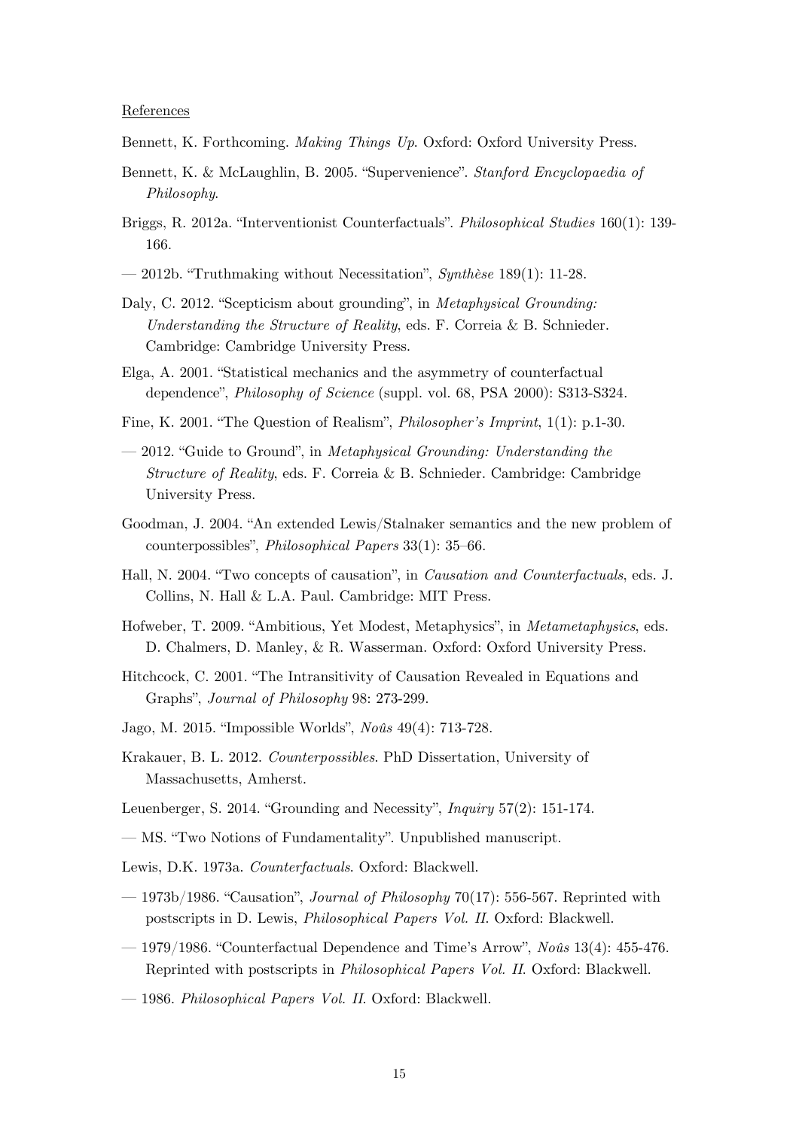#### References

- Bennett, K. Forthcoming. *Making Things Up*. Oxford: Oxford University Press.
- Bennett, K. & McLaughlin, B. 2005. "Supervenience". *Stanford Encyclopaedia of Philosophy*.
- Briggs, R. 2012a. "Interventionist Counterfactuals". *Philosophical Studies* 160(1): 139- 166.
- 2012b. "Truthmaking without Necessitation", *Synthèse* 189(1): 11-28.
- Daly, C. 2012. "Scepticism about grounding", in *Metaphysical Grounding: Understanding the Structure of Reality*, eds. F. Correia & B. Schnieder. Cambridge: Cambridge University Press.
- Elga, A. 2001. "Statistical mechanics and the asymmetry of counterfactual dependence", *Philosophy of Science* (suppl. vol. 68, PSA 2000): S313-S324.
- Fine, K. 2001. "The Question of Realism", *Philosopher's Imprint*, 1(1): p.1-30.
- 2012. "Guide to Ground", in *Metaphysical Grounding: Understanding the Structure of Reality*, eds. F. Correia & B. Schnieder. Cambridge: Cambridge University Press.
- Goodman, J. 2004. "An extended Lewis/Stalnaker semantics and the new problem of counterpossibles", *Philosophical Papers* 33(1): 35–66.
- Hall, N. 2004. "Two concepts of causation", in *Causation and Counterfactuals*, eds. J. Collins, N. Hall & L.A. Paul. Cambridge: MIT Press.
- Hofweber, T. 2009. "Ambitious, Yet Modest, Metaphysics", in *Metametaphysics*, eds. D. Chalmers, D. Manley, & R. Wasserman. Oxford: Oxford University Press.
- Hitchcock, C. 2001. "The Intransitivity of Causation Revealed in Equations and Graphs", *Journal of Philosophy* 98: 273-299.
- Jago, M. 2015. "Impossible Worlds", *Noûs* 49(4): 713-728.
- Krakauer, B. L. 2012. *Counterpossibles*. PhD Dissertation, University of Massachusetts, Amherst.
- Leuenberger, S. 2014. "Grounding and Necessity", *Inquiry* 57(2): 151-174.
- MS. "Two Notions of Fundamentality". Unpublished manuscript.
- Lewis, D.K. 1973a. *Counterfactuals*. Oxford: Blackwell.
- 1973b/1986. "Causation", *Journal of Philosophy* 70(17): 556-567. Reprinted with postscripts in D. Lewis, *Philosophical Papers Vol. II*. Oxford: Blackwell.
- 1979/1986. "Counterfactual Dependence and Time's Arrow", *Noûs* 13(4): 455-476. Reprinted with postscripts in *Philosophical Papers Vol. II*. Oxford: Blackwell.
- 1986. *Philosophical Papers Vol. II*. Oxford: Blackwell.